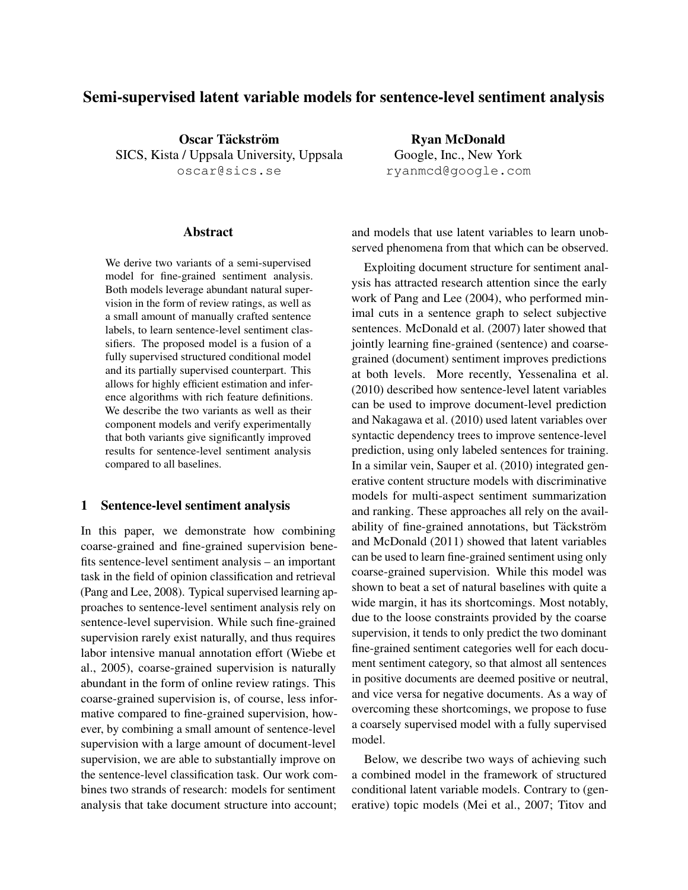# Semi-supervised latent variable models for sentence-level sentiment analysis

Oscar Täckström SICS, Kista / Uppsala University, Uppsala oscar@sics.se

### Abstract

We derive two variants of a semi-supervised model for fine-grained sentiment analysis. Both models leverage abundant natural supervision in the form of review ratings, as well as a small amount of manually crafted sentence labels, to learn sentence-level sentiment classifiers. The proposed model is a fusion of a fully supervised structured conditional model and its partially supervised counterpart. This allows for highly efficient estimation and inference algorithms with rich feature definitions. We describe the two variants as well as their component models and verify experimentally that both variants give significantly improved results for sentence-level sentiment analysis compared to all baselines.

### 1 Sentence-level sentiment analysis

In this paper, we demonstrate how combining coarse-grained and fine-grained supervision benefits sentence-level sentiment analysis – an important task in the field of opinion classification and retrieval (Pang and Lee, 2008). Typical supervised learning approaches to sentence-level sentiment analysis rely on sentence-level supervision. While such fine-grained supervision rarely exist naturally, and thus requires labor intensive manual annotation effort (Wiebe et al., 2005), coarse-grained supervision is naturally abundant in the form of online review ratings. This coarse-grained supervision is, of course, less informative compared to fine-grained supervision, however, by combining a small amount of sentence-level supervision with a large amount of document-level supervision, we are able to substantially improve on the sentence-level classification task. Our work combines two strands of research: models for sentiment analysis that take document structure into account;

Ryan McDonald Google, Inc., New York ryanmcd@google.com

and models that use latent variables to learn unobserved phenomena from that which can be observed.

Exploiting document structure for sentiment analysis has attracted research attention since the early work of Pang and Lee (2004), who performed minimal cuts in a sentence graph to select subjective sentences. McDonald et al. (2007) later showed that jointly learning fine-grained (sentence) and coarsegrained (document) sentiment improves predictions at both levels. More recently, Yessenalina et al. (2010) described how sentence-level latent variables can be used to improve document-level prediction and Nakagawa et al. (2010) used latent variables over syntactic dependency trees to improve sentence-level prediction, using only labeled sentences for training. In a similar vein, Sauper et al. (2010) integrated generative content structure models with discriminative models for multi-aspect sentiment summarization and ranking. These approaches all rely on the availability of fine-grained annotations, but Täckström and McDonald (2011) showed that latent variables can be used to learn fine-grained sentiment using only coarse-grained supervision. While this model was shown to beat a set of natural baselines with quite a wide margin, it has its shortcomings. Most notably, due to the loose constraints provided by the coarse supervision, it tends to only predict the two dominant fine-grained sentiment categories well for each document sentiment category, so that almost all sentences in positive documents are deemed positive or neutral, and vice versa for negative documents. As a way of overcoming these shortcomings, we propose to fuse a coarsely supervised model with a fully supervised model.

Below, we describe two ways of achieving such a combined model in the framework of structured conditional latent variable models. Contrary to (generative) topic models (Mei et al., 2007; Titov and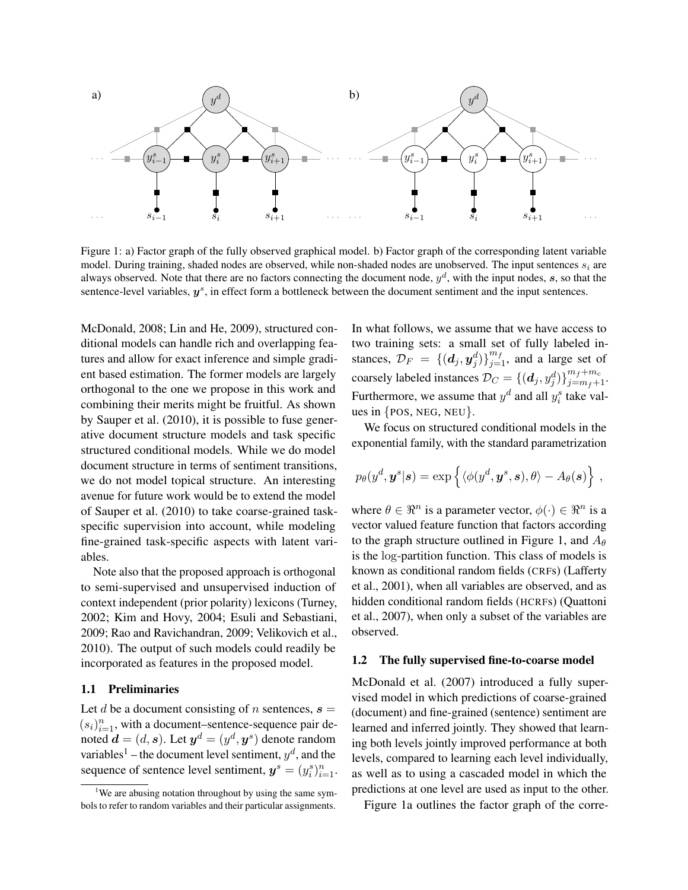

Figure 1: a) Factor graph of the fully observed graphical model. b) Factor graph of the corresponding latent variable model. During training, shaded nodes are observed, while non-shaded nodes are unobserved. The input sentences  $s_i$  are always observed. Note that there are no factors connecting the document node,  $y^d$ , with the input nodes, s, so that the sentence-level variables,  $y^s$ , in effect form a bottleneck between the document sentiment and the input sentences.

McDonald, 2008; Lin and He, 2009), structured conditional models can handle rich and overlapping features and allow for exact inference and simple gradient based estimation. The former models are largely orthogonal to the one we propose in this work and combining their merits might be fruitful. As shown by Sauper et al. (2010), it is possible to fuse generative document structure models and task specific structured conditional models. While we do model document structure in terms of sentiment transitions, we do not model topical structure. An interesting avenue for future work would be to extend the model of Sauper et al. (2010) to take coarse-grained taskspecific supervision into account, while modeling fine-grained task-specific aspects with latent variables.

Note also that the proposed approach is orthogonal to semi-supervised and unsupervised induction of context independent (prior polarity) lexicons (Turney, 2002; Kim and Hovy, 2004; Esuli and Sebastiani, 2009; Rao and Ravichandran, 2009; Velikovich et al., 2010). The output of such models could readily be incorporated as features in the proposed model.

# 1.1 Preliminaries

Let d be a document consisting of n sentences,  $s =$  $(s_i)_{i=1}^n$ , with a document–sentence-sequence pair denoted  $\boldsymbol{d}=(d,\boldsymbol{s}).$  Let  $\boldsymbol{y}^d=(y^d,\boldsymbol{y}^s)$  denote random variables<sup>1</sup> – the document level sentiment,  $y^d$ , and the sequence of sentence level sentiment,  $y^s = (y_i^s)_{i=1}^n$ . In what follows, we assume that we have access to two training sets: a small set of fully labeled instances,  $\mathcal{D}_F = \{ (d_j, y_j^d) \}_{j=1}^{m_f}$ , and a large set of coarsely labeled instances  $\mathcal{D}_C = \{(\boldsymbol{d}_j, y_j^d)\}_{j=m_f+1}^{m_f+m_c}$ . Furthermore, we assume that  $y^d$  and all  $y_i^s$  take values in  $\{POS, NEG, NEW\}$ .

We focus on structured conditional models in the exponential family, with the standard parametrization

$$
p_{\theta}(y^d, \boldsymbol{y}^s | \boldsymbol{s}) = \exp \left\{ \langle \phi(y^d, \boldsymbol{y}^s, \boldsymbol{s}), \theta \rangle - A_{\theta}(\boldsymbol{s}) \right\},\,
$$

where  $\theta \in \mathbb{R}^n$  is a parameter vector,  $\phi(\cdot) \in \mathbb{R}^n$  is a vector valued feature function that factors according to the graph structure outlined in Figure 1, and  $A_{\theta}$ is the log-partition function. This class of models is known as conditional random fields (CRFs) (Lafferty et al., 2001), when all variables are observed, and as hidden conditional random fields (HCRFs) (Quattoni et al., 2007), when only a subset of the variables are observed.

### 1.2 The fully supervised fine-to-coarse model

McDonald et al. (2007) introduced a fully supervised model in which predictions of coarse-grained (document) and fine-grained (sentence) sentiment are learned and inferred jointly. They showed that learning both levels jointly improved performance at both levels, compared to learning each level individually, as well as to using a cascaded model in which the predictions at one level are used as input to the other.

Figure 1a outlines the factor graph of the corre-

<sup>&</sup>lt;sup>1</sup>We are abusing notation throughout by using the same symbols to refer to random variables and their particular assignments.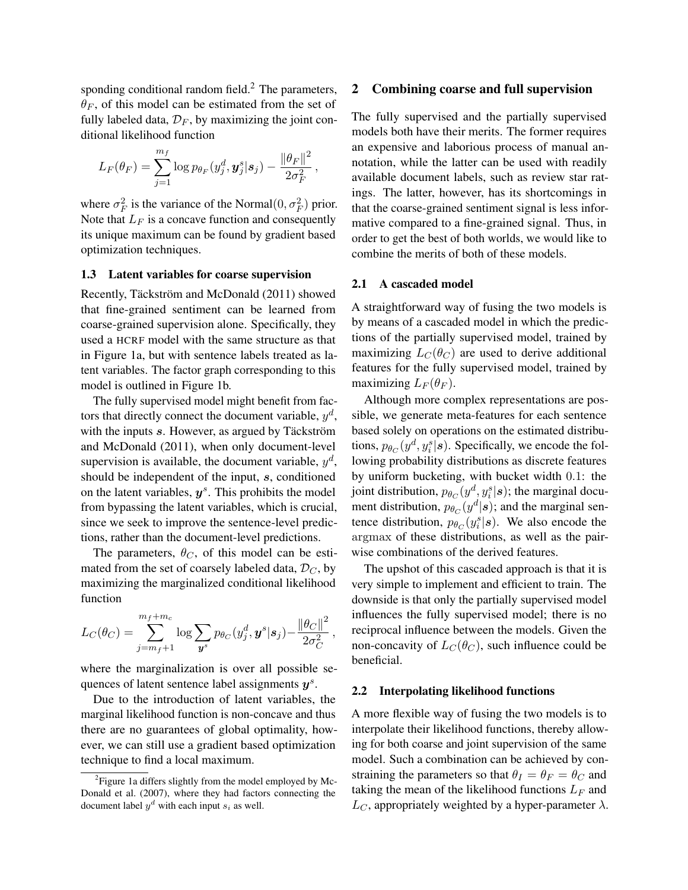sponding conditional random field.<sup>2</sup> The parameters,  $\theta_F$ , of this model can be estimated from the set of fully labeled data,  $\mathcal{D}_F$ , by maximizing the joint conditional likelihood function

$$
L_F(\theta_F) = \sum_{j=1}^{m_f} \log p_{\theta_F}(y_j^d, \mathbf{y}_j^s | \mathbf{s}_j) - \frac{\|\theta_F\|^2}{2\sigma_F^2},
$$

where  $\sigma_F^2$  is the variance of the Normal $(0, \sigma_F^2)$  prior. Note that  $L_F$  is a concave function and consequently its unique maximum can be found by gradient based optimization techniques.

### 1.3 Latent variables for coarse supervision

Recently, Täckström and McDonald (2011) showed that fine-grained sentiment can be learned from coarse-grained supervision alone. Specifically, they used a HCRF model with the same structure as that in Figure 1a, but with sentence labels treated as latent variables. The factor graph corresponding to this model is outlined in Figure 1b.

The fully supervised model might benefit from factors that directly connect the document variable,  $y^d$ , with the inputs  $s$ . However, as argued by Täckström and McDonald (2011), when only document-level supervision is available, the document variable,  $y^d$ , should be independent of the input, s, conditioned on the latent variables,  $y^s$ . This prohibits the model from bypassing the latent variables, which is crucial, since we seek to improve the sentence-level predictions, rather than the document-level predictions.

The parameters,  $\theta_C$ , of this model can be estimated from the set of coarsely labeled data,  $\mathcal{D}_C$ , by maximizing the marginalized conditional likelihood function

$$
L_C(\theta_C) = \sum_{j=m_f+1}^{m_f+m_c} \log \sum_{\boldsymbol{y}^s} p_{\theta_C}(y_j^d, \boldsymbol{y}^s | \boldsymbol{s}_j) - \frac{\|\theta_C\|^2}{2\sigma_C^2},
$$

where the marginalization is over all possible sequences of latent sentence label assignments  $y^s$ .

Due to the introduction of latent variables, the marginal likelihood function is non-concave and thus there are no guarantees of global optimality, however, we can still use a gradient based optimization technique to find a local maximum.

# 2 Combining coarse and full supervision

The fully supervised and the partially supervised models both have their merits. The former requires an expensive and laborious process of manual annotation, while the latter can be used with readily available document labels, such as review star ratings. The latter, however, has its shortcomings in that the coarse-grained sentiment signal is less informative compared to a fine-grained signal. Thus, in order to get the best of both worlds, we would like to combine the merits of both of these models.

#### 2.1 A cascaded model

A straightforward way of fusing the two models is by means of a cascaded model in which the predictions of the partially supervised model, trained by maximizing  $L_C(\theta_C)$  are used to derive additional features for the fully supervised model, trained by maximizing  $L_F(\theta_F)$ .

Although more complex representations are possible, we generate meta-features for each sentence based solely on operations on the estimated distributions,  $p_{\theta_C}(y^d, y_i^s | \boldsymbol{s})$ . Specifically, we encode the following probability distributions as discrete features by uniform bucketing, with bucket width 0.1: the joint distribution,  $p_{\theta_C}(y^d, y_i^s | \boldsymbol{s})$ ; the marginal document distribution,  $p_{\theta_C}(y^d|s)$ ; and the marginal sentence distribution,  $p_{\theta_C}(y_i^s | s)$ . We also encode the argmax of these distributions, as well as the pairwise combinations of the derived features.

The upshot of this cascaded approach is that it is very simple to implement and efficient to train. The downside is that only the partially supervised model influences the fully supervised model; there is no reciprocal influence between the models. Given the non-concavity of  $L_C(\theta_C)$ , such influence could be beneficial.

# 2.2 Interpolating likelihood functions

A more flexible way of fusing the two models is to interpolate their likelihood functions, thereby allowing for both coarse and joint supervision of the same model. Such a combination can be achieved by constraining the parameters so that  $\theta_I = \theta_F = \theta_C$  and taking the mean of the likelihood functions  $L_F$  and  $L<sub>C</sub>$ , appropriately weighted by a hyper-parameter  $\lambda$ .

<sup>&</sup>lt;sup>2</sup> Figure 1a differs slightly from the model employed by Mc-Donald et al. (2007), where they had factors connecting the document label  $y^d$  with each input  $s_i$  as well.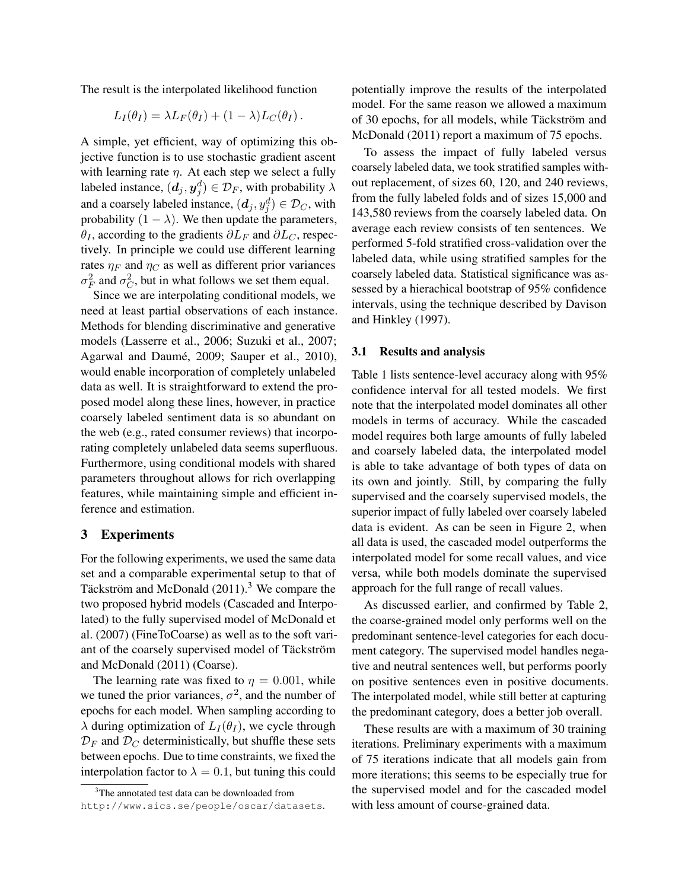The result is the interpolated likelihood function

$$
L_I(\theta_I) = \lambda L_F(\theta_I) + (1 - \lambda)L_C(\theta_I).
$$

A simple, yet efficient, way of optimizing this objective function is to use stochastic gradient ascent with learning rate  $\eta$ . At each step we select a fully labeled instance,  $(\boldsymbol{d}_j, \boldsymbol{y}_j^d) \in \mathcal{D}_F,$  with probability  $\lambda$ and a coarsely labeled instance,  $(d_j, y_j^d) \in \mathcal{D}_C$ , with probability  $(1 - \lambda)$ . We then update the parameters,  $\theta_I$ , according to the gradients  $\partial L_F$  and  $\partial L_C$ , respectively. In principle we could use different learning rates  $\eta_F$  and  $\eta_C$  as well as different prior variances  $\sigma_F^2$  and  $\sigma_C^2$ , but in what follows we set them equal.

Since we are interpolating conditional models, we need at least partial observations of each instance. Methods for blending discriminative and generative models (Lasserre et al., 2006; Suzuki et al., 2007; Agarwal and Daumé, 2009; Sauper et al., 2010), would enable incorporation of completely unlabeled data as well. It is straightforward to extend the proposed model along these lines, however, in practice coarsely labeled sentiment data is so abundant on the web (e.g., rated consumer reviews) that incorporating completely unlabeled data seems superfluous. Furthermore, using conditional models with shared parameters throughout allows for rich overlapping features, while maintaining simple and efficient inference and estimation.

## 3 Experiments

For the following experiments, we used the same data set and a comparable experimental setup to that of Täckström and McDonald  $(2011).<sup>3</sup>$  We compare the two proposed hybrid models (Cascaded and Interpolated) to the fully supervised model of McDonald et al. (2007) (FineToCoarse) as well as to the soft variant of the coarsely supervised model of Täckström and McDonald (2011) (Coarse).

The learning rate was fixed to  $\eta = 0.001$ , while we tuned the prior variances,  $\sigma^2$ , and the number of epochs for each model. When sampling according to  $\lambda$  during optimization of  $L_I(\theta_I)$ , we cycle through  $\mathcal{D}_F$  and  $\mathcal{D}_C$  deterministically, but shuffle these sets between epochs. Due to time constraints, we fixed the interpolation factor to  $\lambda = 0.1$ , but tuning this could potentially improve the results of the interpolated model. For the same reason we allowed a maximum of 30 epochs, for all models, while Täckström and McDonald (2011) report a maximum of 75 epochs.

To assess the impact of fully labeled versus coarsely labeled data, we took stratified samples without replacement, of sizes 60, 120, and 240 reviews, from the fully labeled folds and of sizes 15,000 and 143,580 reviews from the coarsely labeled data. On average each review consists of ten sentences. We performed 5-fold stratified cross-validation over the labeled data, while using stratified samples for the coarsely labeled data. Statistical significance was assessed by a hierachical bootstrap of 95% confidence intervals, using the technique described by Davison and Hinkley (1997).

# 3.1 Results and analysis

Table 1 lists sentence-level accuracy along with 95% confidence interval for all tested models. We first note that the interpolated model dominates all other models in terms of accuracy. While the cascaded model requires both large amounts of fully labeled and coarsely labeled data, the interpolated model is able to take advantage of both types of data on its own and jointly. Still, by comparing the fully supervised and the coarsely supervised models, the superior impact of fully labeled over coarsely labeled data is evident. As can be seen in Figure 2, when all data is used, the cascaded model outperforms the interpolated model for some recall values, and vice versa, while both models dominate the supervised approach for the full range of recall values.

As discussed earlier, and confirmed by Table 2, the coarse-grained model only performs well on the predominant sentence-level categories for each document category. The supervised model handles negative and neutral sentences well, but performs poorly on positive sentences even in positive documents. The interpolated model, while still better at capturing the predominant category, does a better job overall.

These results are with a maximum of 30 training iterations. Preliminary experiments with a maximum of 75 iterations indicate that all models gain from more iterations; this seems to be especially true for the supervised model and for the cascaded model with less amount of course-grained data.

<sup>&</sup>lt;sup>3</sup>The annotated test data can be downloaded from http://www.sics.se/people/oscar/datasets.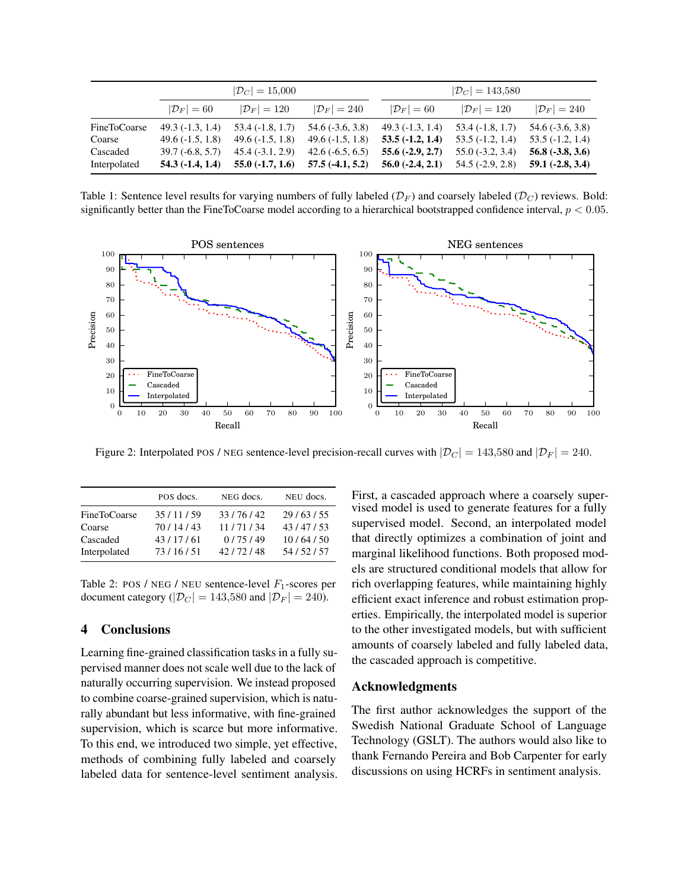|              | $ \mathcal{D}_C  = 15{,}000$ |                       |                       | $ \mathcal{D}_C  = 143,580$ |                       |                       |
|--------------|------------------------------|-----------------------|-----------------------|-----------------------------|-----------------------|-----------------------|
|              | $ \mathcal{D}_F =60$         | $ \mathcal{D}_F =120$ | $ \mathcal{D}_F =240$ | $ \mathcal{D}_F =60$        | $ \mathcal{D}_F =120$ | $ \mathcal{D}_F =240$ |
| FineToCoarse | $49.3(-1.3, 1.4)$            | $53.4(-1.8, 1.7)$     | $54.6(-3.6, 3.8)$     | $49.3(-1.3, 1.4)$           | $53.4(-1.8, 1.7)$     | $54.6(-3.6, 3.8)$     |
| Coarse       | $49.6(-1.5, 1.8)$            | $49.6(-1.5, 1.8)$     | $49.6(-1.5, 1.8)$     | $53.5(-1.2, 1.4)$           | $53.5(-1.2, 1.4)$     | $53.5(-1.2, 1.4)$     |
| Cascaded     | $39.7(-6.8, 5.7)$            | $45.4(-3.1, 2.9)$     | $42.6(-6.5, 6.5)$     | $55.6(-2.9, 2.7)$           | $55.0(-3.2, 3.4)$     | $56.8(-3.8, 3.6)$     |
| Interpolated | $54.3(-1.4, 1.4)$            | $55.0(-1.7, 1.6)$     | $57.5(-4.1, 5.2)$     | $56.0(-2.4, 2.1)$           | $54.5(-2.9, 2.8)$     | $59.1 (-2.8, 3.4)$    |

Table 1: Sentence level results for varying numbers of fully labeled  $(\mathcal{D}_F)$  and coarsely labeled  $(\mathcal{D}_C)$  reviews. Bold: significantly better than the FineToCoarse model according to a hierarchical bootstrapped confidence interval,  $p < 0.05$ .



Figure 2: Interpolated POS / NEG sentence-level precision-recall curves with  $|\mathcal{D}_C| = 143,580$  and  $|\mathcal{D}_F| = 240$ .

|              | POS docs. | NEG docs. | NEU docs. |
|--------------|-----------|-----------|-----------|
| FineToCoarse | 35/11/59  | 33/76/42  | 29/63/55  |
| Coarse       | 70/14/43  | 11/71/34  | 43/47/53  |
| Cascaded     | 43/17/61  | 0/75/49   | 10/64/50  |
| Interpolated | 73/16/51  | 42/72/48  | 54/52/57  |

Table 2: POS / NEG / NEU sentence-level  $F_1$ -scores per document category ( $|\mathcal{D}_C| = 143,580$  and  $|\mathcal{D}_F| = 240$ ).

# 4 Conclusions

Learning fine-grained classification tasks in a fully supervised manner does not scale well due to the lack of naturally occurring supervision. We instead proposed to combine coarse-grained supervision, which is naturally abundant but less informative, with fine-grained supervision, which is scarce but more informative. To this end, we introduced two simple, yet effective, methods of combining fully labeled and coarsely labeled data for sentence-level sentiment analysis. First, a cascaded approach where a coarsely supervised model is used to generate features for a fully supervised model. Second, an interpolated model that directly optimizes a combination of joint and marginal likelihood functions. Both proposed models are structured conditional models that allow for rich overlapping features, while maintaining highly efficient exact inference and robust estimation properties. Empirically, the interpolated model is superior to the other investigated models, but with sufficient amounts of coarsely labeled and fully labeled data, the cascaded approach is competitive.

### Acknowledgments

The first author acknowledges the support of the Swedish National Graduate School of Language Technology (GSLT). The authors would also like to thank Fernando Pereira and Bob Carpenter for early discussions on using HCRFs in sentiment analysis.